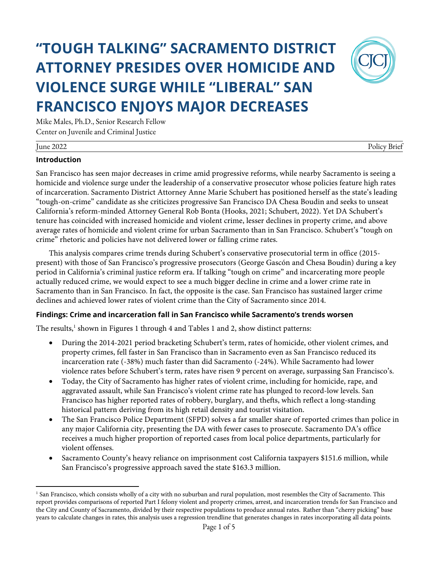# **"TOUGH TALKING" SACRAMENTO DISTRICT ATTORNEY PRESIDES OVER HOMICIDE AND VIOLENCE SURGE WHILE "LIBERAL" SAN FRANCISCO ENJOYS MAJOR DECREASES**



Mike Males, Ph.D., Senior Research Fellow Center on Juvenile and Criminal Justice

| -<br>June 2022 | Brief<br>Polic <sup>-</sup> |
|----------------|-----------------------------|

### **Introduction**

San Francisco has seen major decreases in crime amid progressive reforms, while nearby Sacramento is seeing a homicide and violence surge under the leadership of a conservative prosecutor whose policies feature high rates of incarceration. Sacramento District Attorney Anne Marie Schubert has positioned herself as the state's leading "tough-on-crime" candidate as she criticizes progressive San Francisco DA Chesa Boudin and seeks to unseat California's reform-minded Attorney General Rob Bonta (Hooks, 2021; Schubert, 2022). Yet DA Schubert's tenure has coincided with increased homicide and violent crime, lesser declines in property crime, and above average rates of homicide and violent crime for urban Sacramento than in San Francisco. Schubert's "tough on crime" rhetoric and policies have not delivered lower or falling crime rates.

This analysis compares crime trends during Schubert's conservative prosecutorial term in office (2015 present) with those of San Francisco's progressive prosecutors (George Gascón and Chesa Boudin) during a key period in California's criminal justice reform era. If talking "tough on crime" and incarcerating more people actually reduced crime, we would expect to see a much bigger decline in crime and a lower crime rate in Sacramento than in San Francisco. In fact, the opposite is the case. San Francisco has sustained larger crime declines and achieved lower rates of violent crime than the City of Sacramento since 2014.

## **Findings: Crime and incarceration fall in San Francisco while Sacramento's trends worsen**

The results, $<sup>1</sup>$  shown in Figures 1 through 4 and Tables 1 and 2, show distinct patterns:</sup>

- During the 2014-2021 period bracketing Schubert's term, rates of homicide, other violent crimes, and property crimes, fell faster in San Francisco than in Sacramento even as San Francisco reduced its incarceration rate (-38%) much faster than did Sacramento (-24%). While Sacramento had lower violence rates before Schubert's term, rates have risen 9 percent on average, surpassing San Francisco's.
- Today, the City of Sacramento has higher rates of violent crime, including for homicide, rape, and aggravated assault, while San Francisco's violent crime rate has plunged to record-low levels. San Francisco has higher reported rates of robbery, burglary, and thefts, which reflect a long-standing historical pattern deriving from its high retail density and tourist visitation.
- The San Francisco Police Department (SFPD) solves a far smaller share of reported crimes than police in any major California city, presenting the DA with fewer cases to prosecute. Sacramento DA's office receives a much higher proportion of reported cases from local police departments, particularly for violent offenses.
- Sacramento County's heavy reliance on imprisonment cost California taxpayers \$151.6 million, while San Francisco's progressive approach saved the state \$163.3 million.

<sup>&</sup>lt;sup>1</sup> San Francisco, which consists wholly of a city with no suburban and rural population, most resembles the City of Sacramento. This report provides comparisons of reported Part I felony violent and property crimes, arrest, and incarceration trends for San Francisco and the City and County of Sacramento, divided by their respective populations to produce annual rates. Rather than "cherry picking" base years to calculate changes in rates, this analysis uses a regression trendline that generates changes in rates incorporating all data points.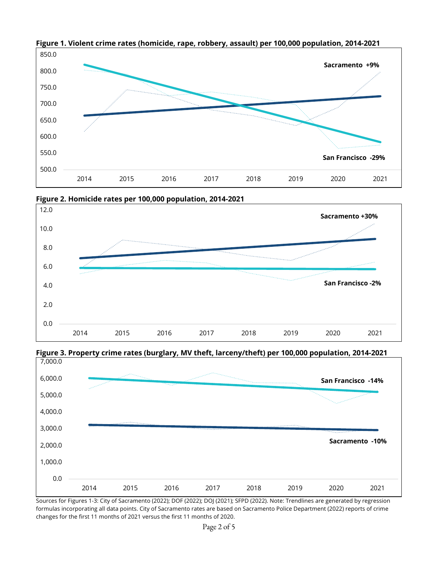

**Figure 1. Violent crime rates (homicide, rape, robbery, assault) per 100,000 population, 2014-2021**



**Figure 3. Property crime rates (burglary, MV theft, larceny/theft) per 100,000 population, 2014-2021**



Sources for Figures 1-3: City of Sacramento (2022); DOF (2022); DOJ (2021); SFPD (2022). Note: Trendlines are generated by regression formulas incorporating all data points. City of Sacramento rates are based on Sacramento Police Department (2022) reports of crime changes for the first 11 months of 2021 versus the first 11 months of 2020.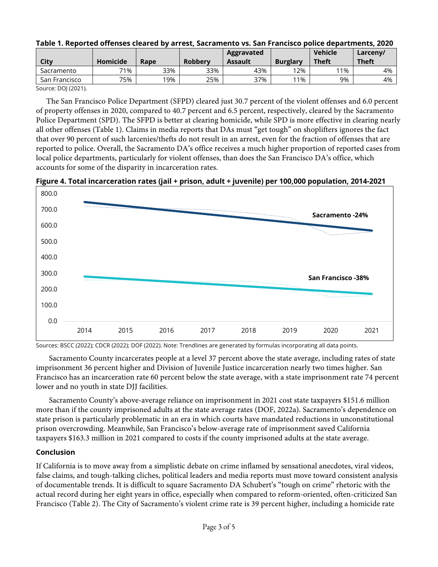| City          | <b>Homicide</b> | Rape | <b>Robberv</b> | Aggravated<br>Assault | <b>Burglary</b> | <b>Vehicle</b><br><b>Theft</b> | Larceny/<br><b>Theft</b> |
|---------------|-----------------|------|----------------|-----------------------|-----------------|--------------------------------|--------------------------|
| Sacramento    | 71%             | 33%  | 33%            | 43%                   | 12%             | 11%                            | 4%                       |
| San Francisco | 75%             | 19%  | 25%            | 37%                   | 11%             | 9%                             | 4%                       |

#### **Table 1. Reported offenses cleared by arrest, Sacramento vs. San Francisco police departments, 2020**

Source: DOJ (2021).

The San Francisco Police Department (SFPD) cleared just 30.7 percent of the violent offenses and 6.0 percent of property offenses in 2020, compared to 40.7 percent and 6.5 percent, respectively, cleared by the Sacramento Police Department (SPD). The SFPD is better at clearing homicide, while SPD is more effective in clearing nearly all other offenses (Table 1). Claims in media reports that DAs must "get tough" on shoplifters ignores the fact that over 90 percent of such larcenies/thefts do not result in an arrest, even for the fraction of offenses that are reported to police. Overall, the Sacramento DA's office receives a much higher proportion of reported cases from local police departments, particularly for violent offenses, than does the San Francisco DA's office, which accounts for some of the disparity in incarceration rates.

**Figure 4. Total incarceration rates (jail + prison, adult + juvenile) per 100,000 population, 2014-2021**



Sources: BSCC (2022); CDCR (2022); DOF (2022). Note: Trendlines are generated by formulas incorporating all data points.

Sacramento County incarcerates people at a level 37 percent above the state average, including rates of state imprisonment 36 percent higher and Division of Juvenile Justice incarceration nearly two times higher. San Francisco has an incarceration rate 60 percent below the state average, with a state imprisonment rate 74 percent lower and no youth in state DJJ facilities.

Sacramento County's above-average reliance on imprisonment in 2021 cost state taxpayers \$151.6 million more than if the county imprisoned adults at the state average rates (DOF, 2022a). Sacramento's dependence on state prison is particularly problematic in an era in which courts have mandated reductions in unconstitutional prison overcrowding. Meanwhile, San Francisco's below-average rate of imprisonment saved California taxpayers \$163.3 million in 2021 compared to costs if the county imprisoned adults at the state average.

#### **Conclusion**

If California is to move away from a simplistic debate on crime inflamed by sensational anecdotes, viral videos, false claims, and tough-talking cliches, political leaders and media reports must move toward consistent analysis of documentable trends. It is difficult to square Sacramento DA Schubert's "tough on crime" rhetoric with the actual record during her eight years in office, especially when compared to reform-oriented, often-criticized San Francisco (Table 2). The City of Sacramento's violent crime rate is 39 percent higher, including a homicide rate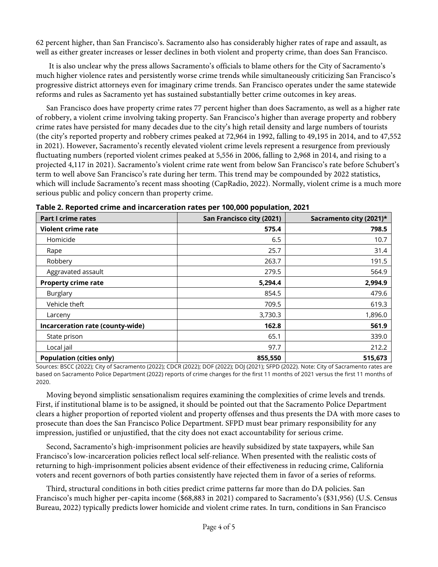62 percent higher, than San Francisco's. Sacramento also has considerably higher rates of rape and assault, as well as either greater increases or lesser declines in both violent and property crime, than does San Francisco.

It is also unclear why the press allows Sacramento's officials to blame others for the City of Sacramento's much higher violence rates and persistently worse crime trends while simultaneously criticizing San Francisco's progressive district attorneys even for imaginary crime trends. San Francisco operates under the same statewide reforms and rules as Sacramento yet has sustained substantially better crime outcomes in key areas.

San Francisco does have property crime rates 77 percent higher than does Sacramento, as well as a higher rate of robbery, a violent crime involving taking property. San Francisco's higher than average property and robbery crime rates have persisted for many decades due to the city's high retail density and large numbers of tourists (the city's reported property and robbery crimes peaked at 72,964 in 1992, falling to 49,195 in 2014, and to 47,552 in 2021). However, Sacramento's recently elevated violent crime levels represent a resurgence from previously fluctuating numbers (reported violent crimes peaked at 5,556 in 2006, falling to 2,968 in 2014, and rising to a projected 4,117 in 2021). Sacramento's violent crime rate went from below San Francisco's rate before Schubert's term to well above San Francisco's rate during her term. This trend may be compounded by 2022 statistics, which will include Sacramento's recent mass shooting (CapRadio, 2022). Normally, violent crime is a much more serious public and policy concern than property crime.

| <b>Part I crime rates</b>        | San Francisco city (2021) | Sacramento city (2021)* |
|----------------------------------|---------------------------|-------------------------|
| Violent crime rate               | 575.4                     | 798.5                   |
| Homicide                         | 6.5                       | 10.7                    |
| Rape                             | 25.7                      | 31.4                    |
| Robbery                          | 263.7                     | 191.5                   |
| Aggravated assault               | 279.5                     | 564.9                   |
| <b>Property crime rate</b>       | 5,294.4                   | 2,994.9                 |
| Burglary                         | 854.5                     | 479.6                   |
| Vehicle theft                    | 709.5                     | 619.3                   |
| Larceny                          | 3,730.3                   | 1,896.0                 |
| Incarceration rate (county-wide) | 162.8                     | 561.9                   |
| State prison                     | 65.1                      | 339.0                   |
| Local jail                       | 97.7                      | 212.2                   |
| <b>Population (cities only)</b>  | 855,550                   | 515,673                 |

**Table 2. Reported crime and incarceration rates per 100,000 population, 2021**

Sources: BSCC (2022); City of Sacramento (2022); CDCR (2022); DOF (2022); DOJ (2021); SFPD (2022). Note: City of Sacramento rates are based on Sacramento Police Department (2022) reports of crime changes for the first 11 months of 2021 versus the first 11 months of 2020.

Moving beyond simplistic sensationalism requires examining the complexities of crime levels and trends. First, if institutional blame is to be assigned, it should be pointed out that the Sacramento Police Department clears a higher proportion of reported violent and property offenses and thus presents the DA with more cases to prosecute than does the San Francisco Police Department. SFPD must bear primary responsibility for any impression, justified or unjustified, that the city does not exact accountability for serious crime.

Second, Sacramento's high-imprisonment policies are heavily subsidized by state taxpayers, while San Francisco's low-incarceration policies reflect local self-reliance. When presented with the realistic costs of returning to high-imprisonment policies absent evidence of their effectiveness in reducing crime, California voters and recent governors of both parties consistently have rejected them in favor of a series of reforms.

Third, structural conditions in both cities predict crime patterns far more than do DA policies. San Francisco's much higher per-capita income (\$68,883 in 2021) compared to Sacramento's (\$31,956) (U.S. Census Bureau, 2022) typically predicts lower homicide and violent crime rates. In turn, conditions in San Francisco